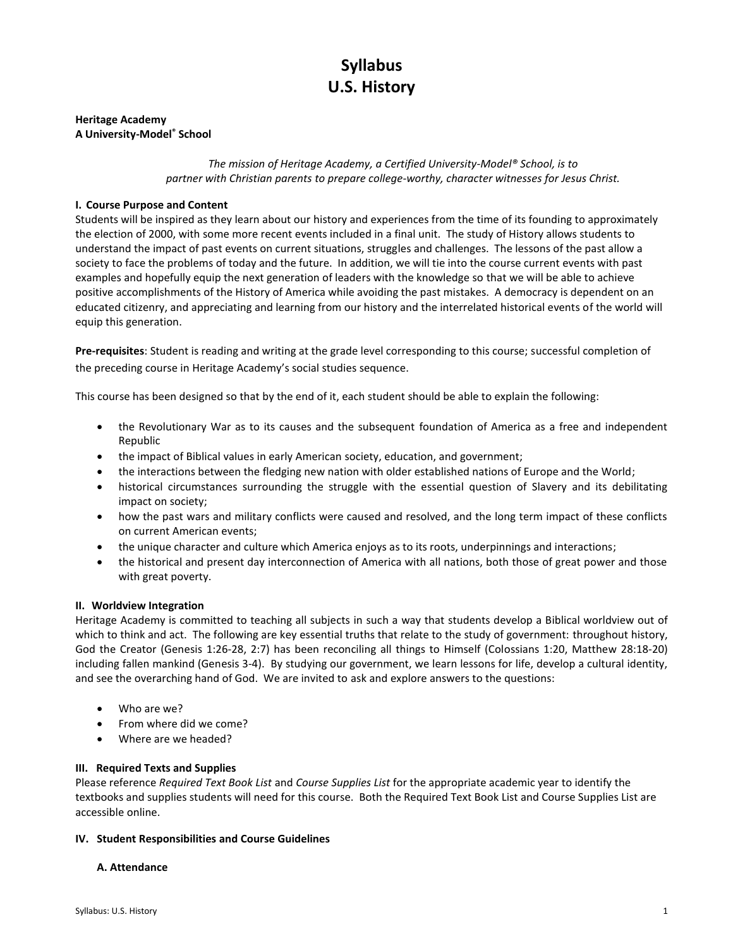# **Syllabus U.S. History**

## **Heritage Academy A University-Model® School**

## *The mission of Heritage Academy, a Certified University-Model® School, is to partner with Christian parents to prepare college-worthy, character witnesses for Jesus Christ.*

## **I. Course Purpose and Content**

Students will be inspired as they learn about our history and experiences from the time of its founding to approximately the election of 2000, with some more recent events included in a final unit. The study of History allows students to understand the impact of past events on current situations, struggles and challenges. The lessons of the past allow a society to face the problems of today and the future. In addition, we will tie into the course current events with past examples and hopefully equip the next generation of leaders with the knowledge so that we will be able to achieve positive accomplishments of the History of America while avoiding the past mistakes. A democracy is dependent on an educated citizenry, and appreciating and learning from our history and the interrelated historical events of the world will equip this generation.

**Pre-requisites**: Student is reading and writing at the grade level corresponding to this course; successful completion of the preceding course in Heritage Academy's social studies sequence.

This course has been designed so that by the end of it, each student should be able to explain the following:

- the Revolutionary War as to its causes and the subsequent foundation of America as a free and independent Republic
- the impact of Biblical values in early American society, education, and government;
- the interactions between the fledging new nation with older established nations of Europe and the World;
- historical circumstances surrounding the struggle with the essential question of Slavery and its debilitating impact on society;
- how the past wars and military conflicts were caused and resolved, and the long term impact of these conflicts on current American events;
- the unique character and culture which America enjoys as to its roots, underpinnings and interactions;
- the historical and present day interconnection of America with all nations, both those of great power and those with great poverty.

## **II. Worldview Integration**

Heritage Academy is committed to teaching all subjects in such a way that students develop a Biblical worldview out of which to think and act. The following are key essential truths that relate to the study of government: throughout history, God the Creator (Genesis 1:26-28, 2:7) has been reconciling all things to Himself (Colossians 1:20, Matthew 28:18-20) including fallen mankind (Genesis 3-4). By studying our government, we learn lessons for life, develop a cultural identity, and see the overarching hand of God. We are invited to ask and explore answers to the questions:

- Who are we?
- From where did we come?
- Where are we headed?

## **III. Required Texts and Supplies**

Please reference *Required Text Book List* and *Course Supplies List* for the appropriate academic year to identify the textbooks and supplies students will need for this course. Both the Required Text Book List and Course Supplies List are accessible online.

## **IV. Student Responsibilities and Course Guidelines**

## **A. Attendance**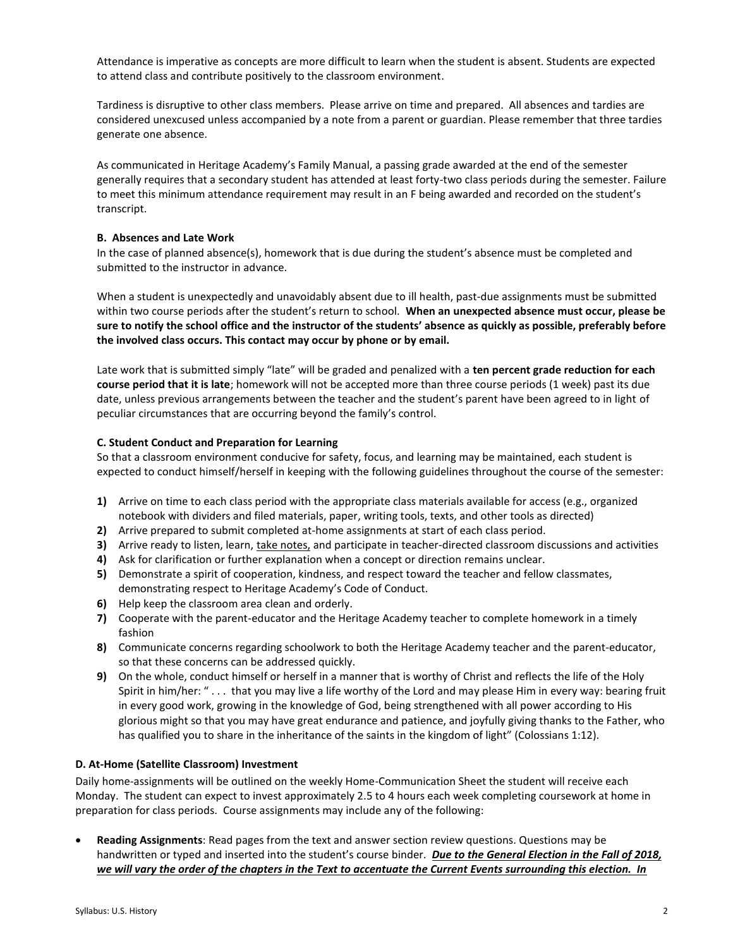Attendance is imperative as concepts are more difficult to learn when the student is absent. Students are expected to attend class and contribute positively to the classroom environment.

Tardiness is disruptive to other class members. Please arrive on time and prepared. All absences and tardies are considered unexcused unless accompanied by a note from a parent or guardian. Please remember that three tardies generate one absence.

As communicated in Heritage Academy's Family Manual, a passing grade awarded at the end of the semester generally requires that a secondary student has attended at least forty-two class periods during the semester. Failure to meet this minimum attendance requirement may result in an F being awarded and recorded on the student's transcript.

#### **B. Absences and Late Work**

In the case of planned absence(s), homework that is due during the student's absence must be completed and submitted to the instructor in advance.

When a student is unexpectedly and unavoidably absent due to ill health, past-due assignments must be submitted within two course periods after the student's return to school. **When an unexpected absence must occur, please be sure to notify the school office and the instructor of the students' absence as quickly as possible, preferably before the involved class occurs. This contact may occur by phone or by email.**

Late work that is submitted simply "late" will be graded and penalized with a **ten percent grade reduction for each course period that it is late**; homework will not be accepted more than three course periods (1 week) past its due date, unless previous arrangements between the teacher and the student's parent have been agreed to in light of peculiar circumstances that are occurring beyond the family's control.

## **C. Student Conduct and Preparation for Learning**

So that a classroom environment conducive for safety, focus, and learning may be maintained, each student is expected to conduct himself/herself in keeping with the following guidelines throughout the course of the semester:

- **1)** Arrive on time to each class period with the appropriate class materials available for access (e.g., organized notebook with dividers and filed materials, paper, writing tools, texts, and other tools as directed)
- **2)** Arrive prepared to submit completed at-home assignments at start of each class period.
- **3)** Arrive ready to listen, learn, take notes, and participate in teacher-directed classroom discussions and activities
- **4)** Ask for clarification or further explanation when a concept or direction remains unclear.
- **5)** Demonstrate a spirit of cooperation, kindness, and respect toward the teacher and fellow classmates, demonstrating respect to Heritage Academy's Code of Conduct.
- **6)** Help keep the classroom area clean and orderly.
- **7)** Cooperate with the parent-educator and the Heritage Academy teacher to complete homework in a timely fashion
- **8)** Communicate concerns regarding schoolwork to both the Heritage Academy teacher and the parent-educator, so that these concerns can be addressed quickly.
- **9)** On the whole, conduct himself or herself in a manner that is worthy of Christ and reflects the life of the Holy Spirit in him/her: " . . . that you may live a life worthy of the Lord and may please Him in every way: bearing fruit in every good work, growing in the knowledge of God, being strengthened with all power according to His glorious might so that you may have great endurance and patience, and joyfully giving thanks to the Father, who has qualified you to share in the inheritance of the saints in the kingdom of light" (Colossians 1:12).

## **D. At-Home (Satellite Classroom) Investment**

Daily home-assignments will be outlined on the weekly Home-Communication Sheet the student will receive each Monday. The student can expect to invest approximately 2.5 to 4 hours each week completing coursework at home in preparation for class periods. Course assignments may include any of the following:

 **Reading Assignments**: Read pages from the text and answer section review questions. Questions may be handwritten or typed and inserted into the student's course binder. *Due to the General Election in the Fall of 2018, we will vary the order of the chapters in the Text to accentuate the Current Events surrounding this election. In*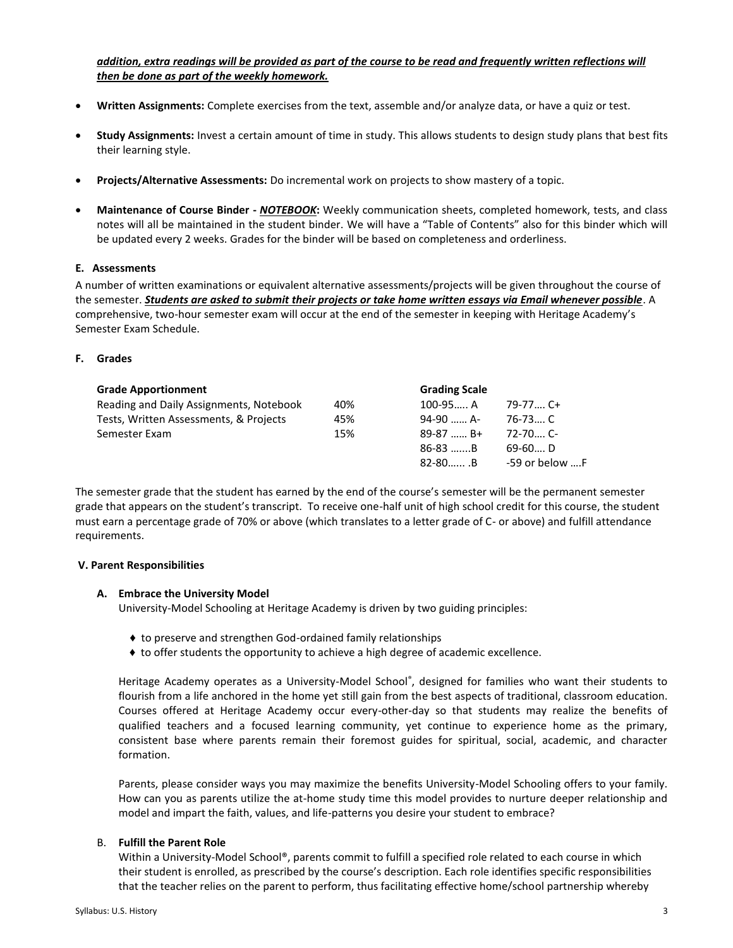addition, extra readings will be provided as part of the course to be read and frequently written reflections will *then be done as part of the weekly homework.*

- **Written Assignments:** Complete exercises from the text, assemble and/or analyze data, or have a quiz or test.
- **Study Assignments:** Invest a certain amount of time in study. This allows students to design study plans that best fits their learning style.
- **Projects/Alternative Assessments:** Do incremental work on projects to show mastery of a topic.
- **Maintenance of Course Binder -** *NOTEBOOK***:** Weekly communication sheets, completed homework, tests, and class notes will all be maintained in the student binder. We will have a "Table of Contents" also for this binder which will be updated every 2 weeks. Grades for the binder will be based on completeness and orderliness.

#### **E. Assessments**

A number of written examinations or equivalent alternative assessments/projects will be given throughout the course of the semester. *Students are asked to submit their projects or take home written essays via Email whenever possible*. A comprehensive, two-hour semester exam will occur at the end of the semester in keeping with Heritage Academy's Semester Exam Schedule.

#### **F. Grades**

| <b>Grade Apportionment</b>              |     | <b>Grading Scale</b> |                |
|-----------------------------------------|-----|----------------------|----------------|
| Reading and Daily Assignments, Notebook | 40% | $100-95 A$           | $79-77$ C+     |
| Tests, Written Assessments, & Projects  | 45% | 94-90  A-            | $76-73$ C      |
| Semester Exam                           | 15% | $89-87$ B+           | $72 - 70$ C-   |
|                                         |     | $86-83$ B            | $69-60$ D      |
|                                         |     | $82 - 80$ B          | -59 or below F |

The semester grade that the student has earned by the end of the course's semester will be the permanent semester grade that appears on the student's transcript. To receive one-half unit of high school credit for this course, the student must earn a percentage grade of 70% or above (which translates to a letter grade of C- or above) and fulfill attendance requirements.

#### **V. Parent Responsibilities**

#### **A. Embrace the University Model**

University-Model Schooling at Heritage Academy is driven by two guiding principles:

- ♦ to preserve and strengthen God-ordained family relationships
- ♦ to offer students the opportunity to achieve a high degree of academic excellence.

Heritage Academy operates as a University-Model School® , designed for families who want their students to flourish from a life anchored in the home yet still gain from the best aspects of traditional, classroom education. Courses offered at Heritage Academy occur every-other-day so that students may realize the benefits of qualified teachers and a focused learning community, yet continue to experience home as the primary, consistent base where parents remain their foremost guides for spiritual, social, academic, and character formation.

Parents, please consider ways you may maximize the benefits University-Model Schooling offers to your family. How can you as parents utilize the at-home study time this model provides to nurture deeper relationship and model and impart the faith, values, and life-patterns you desire your student to embrace?

#### B. **Fulfill the Parent Role**

Within a University-Model School®, parents commit to fulfill a specified role related to each course in which their student is enrolled, as prescribed by the course's description. Each role identifies specific responsibilities that the teacher relies on the parent to perform, thus facilitating effective home/school partnership whereby